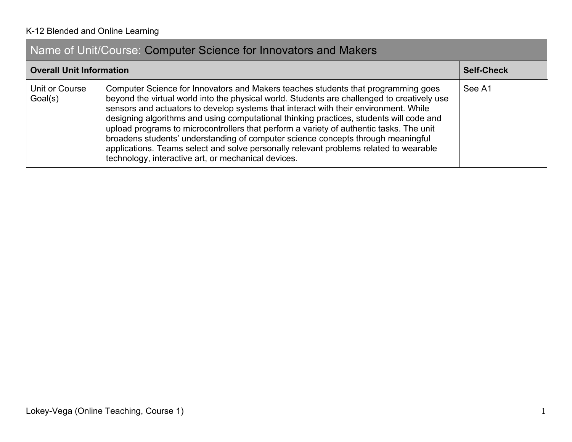# Name of Unit/Course: Computer Science for Innovators and Makers

| <b>Overall Unit Information</b> |                                                                                                                                                                                                                                                                                                                                                                                                                                                                                                                                                                                                                                                                                                    | <b>Self-Check</b> |
|---------------------------------|----------------------------------------------------------------------------------------------------------------------------------------------------------------------------------------------------------------------------------------------------------------------------------------------------------------------------------------------------------------------------------------------------------------------------------------------------------------------------------------------------------------------------------------------------------------------------------------------------------------------------------------------------------------------------------------------------|-------------------|
| Unit or Course<br>Goal(s)       | Computer Science for Innovators and Makers teaches students that programming goes<br>beyond the virtual world into the physical world. Students are challenged to creatively use<br>sensors and actuators to develop systems that interact with their environment. While<br>designing algorithms and using computational thinking practices, students will code and<br>upload programs to microcontrollers that perform a variety of authentic tasks. The unit<br>broadens students' understanding of computer science concepts through meaningful<br>applications. Teams select and solve personally relevant problems related to wearable<br>technology, interactive art, or mechanical devices. | See A1            |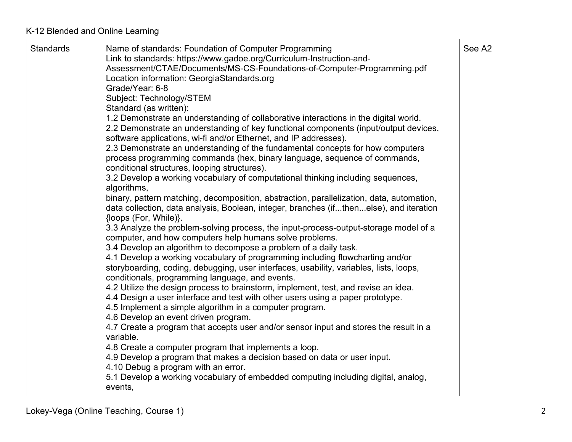| <b>Standards</b> | Name of standards: Foundation of Computer Programming<br>Link to standards: https://www.gadoe.org/Curriculum-Instruction-and-<br>Assessment/CTAE/Documents/MS-CS-Foundations-of-Computer-Programming.pdf<br>Location information: GeorgiaStandards.org<br>Grade/Year: 6-8<br>Subject: Technology/STEM<br>Standard (as written):<br>1.2 Demonstrate an understanding of collaborative interactions in the digital world.<br>2.2 Demonstrate an understanding of key functional components (input/output devices,<br>software applications, wi-fi and/or Ethernet, and IP addresses).<br>2.3 Demonstrate an understanding of the fundamental concepts for how computers<br>process programming commands (hex, binary language, sequence of commands,<br>conditional structures, looping structures).<br>3.2 Develop a working vocabulary of computational thinking including sequences,<br>algorithms,<br>binary, pattern matching, decomposition, abstraction, parallelization, data, automation,<br>data collection, data analysis, Boolean, integer, branches (ifthenelse), and iteration<br>{loops (For, While)}.<br>3.3 Analyze the problem-solving process, the input-process-output-storage model of a<br>computer, and how computers help humans solve problems.<br>3.4 Develop an algorithm to decompose a problem of a daily task.<br>4.1 Develop a working vocabulary of programming including flowcharting and/or<br>storyboarding, coding, debugging, user interfaces, usability, variables, lists, loops,<br>conditionals, programming language, and events.<br>4.2 Utilize the design process to brainstorm, implement, test, and revise an idea.<br>4.4 Design a user interface and test with other users using a paper prototype.<br>4.5 Implement a simple algorithm in a computer program.<br>4.6 Develop an event driven program.<br>4.7 Create a program that accepts user and/or sensor input and stores the result in a<br>variable.<br>4.8 Create a computer program that implements a loop.<br>4.9 Develop a program that makes a decision based on data or user input.<br>4.10 Debug a program with an error.<br>5.1 Develop a working vocabulary of embedded computing including digital, analog,<br>events, | See A2 |
|------------------|---------------------------------------------------------------------------------------------------------------------------------------------------------------------------------------------------------------------------------------------------------------------------------------------------------------------------------------------------------------------------------------------------------------------------------------------------------------------------------------------------------------------------------------------------------------------------------------------------------------------------------------------------------------------------------------------------------------------------------------------------------------------------------------------------------------------------------------------------------------------------------------------------------------------------------------------------------------------------------------------------------------------------------------------------------------------------------------------------------------------------------------------------------------------------------------------------------------------------------------------------------------------------------------------------------------------------------------------------------------------------------------------------------------------------------------------------------------------------------------------------------------------------------------------------------------------------------------------------------------------------------------------------------------------------------------------------------------------------------------------------------------------------------------------------------------------------------------------------------------------------------------------------------------------------------------------------------------------------------------------------------------------------------------------------------------------------------------------------------------------------------------------------------------------------------------------------------------------------------------|--------|
|------------------|---------------------------------------------------------------------------------------------------------------------------------------------------------------------------------------------------------------------------------------------------------------------------------------------------------------------------------------------------------------------------------------------------------------------------------------------------------------------------------------------------------------------------------------------------------------------------------------------------------------------------------------------------------------------------------------------------------------------------------------------------------------------------------------------------------------------------------------------------------------------------------------------------------------------------------------------------------------------------------------------------------------------------------------------------------------------------------------------------------------------------------------------------------------------------------------------------------------------------------------------------------------------------------------------------------------------------------------------------------------------------------------------------------------------------------------------------------------------------------------------------------------------------------------------------------------------------------------------------------------------------------------------------------------------------------------------------------------------------------------------------------------------------------------------------------------------------------------------------------------------------------------------------------------------------------------------------------------------------------------------------------------------------------------------------------------------------------------------------------------------------------------------------------------------------------------------------------------------------------------|--------|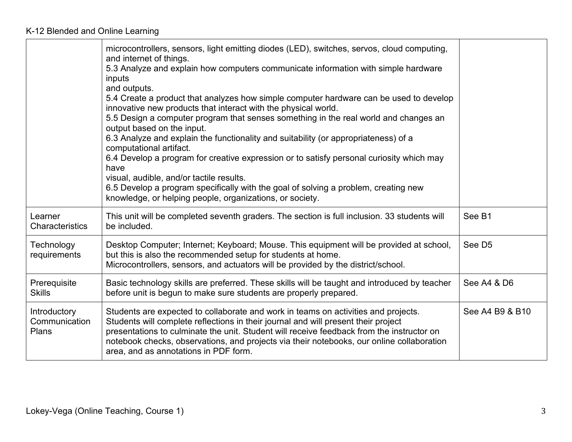|                                        | microcontrollers, sensors, light emitting diodes (LED), switches, servos, cloud computing,<br>and internet of things.<br>5.3 Analyze and explain how computers communicate information with simple hardware<br>inputs<br>and outputs.<br>5.4 Create a product that analyzes how simple computer hardware can be used to develop<br>innovative new products that interact with the physical world.<br>5.5 Design a computer program that senses something in the real world and changes an<br>output based on the input.<br>6.3 Analyze and explain the functionality and suitability (or appropriateness) of a<br>computational artifact.<br>6.4 Develop a program for creative expression or to satisfy personal curiosity which may<br>have<br>visual, audible, and/or tactile results.<br>6.5 Develop a program specifically with the goal of solving a problem, creating new<br>knowledge, or helping people, organizations, or society. |                    |
|----------------------------------------|----------------------------------------------------------------------------------------------------------------------------------------------------------------------------------------------------------------------------------------------------------------------------------------------------------------------------------------------------------------------------------------------------------------------------------------------------------------------------------------------------------------------------------------------------------------------------------------------------------------------------------------------------------------------------------------------------------------------------------------------------------------------------------------------------------------------------------------------------------------------------------------------------------------------------------------------|--------------------|
| Learner<br><b>Characteristics</b>      | This unit will be completed seventh graders. The section is full inclusion. 33 students will<br>be included.                                                                                                                                                                                                                                                                                                                                                                                                                                                                                                                                                                                                                                                                                                                                                                                                                                 | See B1             |
| Technology<br>requirements             | Desktop Computer; Internet; Keyboard; Mouse. This equipment will be provided at school,<br>but this is also the recommended setup for students at home.<br>Microcontrollers, sensors, and actuators will be provided by the district/school.                                                                                                                                                                                                                                                                                                                                                                                                                                                                                                                                                                                                                                                                                                 | See D <sub>5</sub> |
| Prerequisite<br><b>Skills</b>          | Basic technology skills are preferred. These skills will be taught and introduced by teacher<br>before unit is begun to make sure students are properly prepared.                                                                                                                                                                                                                                                                                                                                                                                                                                                                                                                                                                                                                                                                                                                                                                            | See A4 & D6        |
| Introductory<br>Communication<br>Plans | Students are expected to collaborate and work in teams on activities and projects.<br>Students will complete reflections in their journal and will present their project<br>presentations to culminate the unit. Student will receive feedback from the instructor on<br>notebook checks, observations, and projects via their notebooks, our online collaboration<br>area, and as annotations in PDF form.                                                                                                                                                                                                                                                                                                                                                                                                                                                                                                                                  | See A4 B9 & B10    |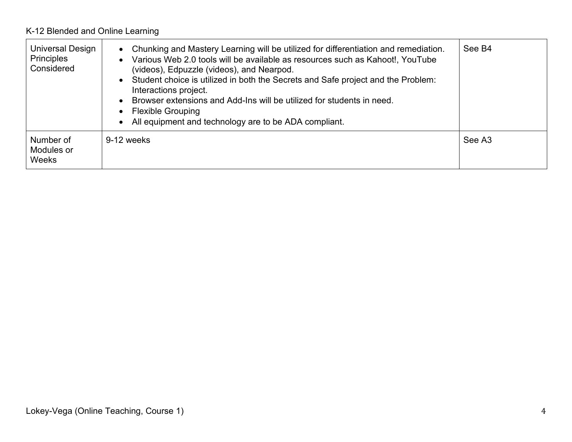| Universal Design<br><b>Principles</b><br>Considered | • Chunking and Mastery Learning will be utilized for differentiation and remediation.<br>Various Web 2.0 tools will be available as resources such as Kahoot!, YouTube<br>(videos), Edpuzzle (videos), and Nearpod.<br>Student choice is utilized in both the Secrets and Safe project and the Problem:<br>Interactions project.<br>Browser extensions and Add-Ins will be utilized for students in need.<br><b>Flexible Grouping</b><br>• All equipment and technology are to be ADA compliant. | See B4 |
|-----------------------------------------------------|--------------------------------------------------------------------------------------------------------------------------------------------------------------------------------------------------------------------------------------------------------------------------------------------------------------------------------------------------------------------------------------------------------------------------------------------------------------------------------------------------|--------|
| Number of<br>Modules or<br>Weeks                    | 9-12 weeks                                                                                                                                                                                                                                                                                                                                                                                                                                                                                       | See A3 |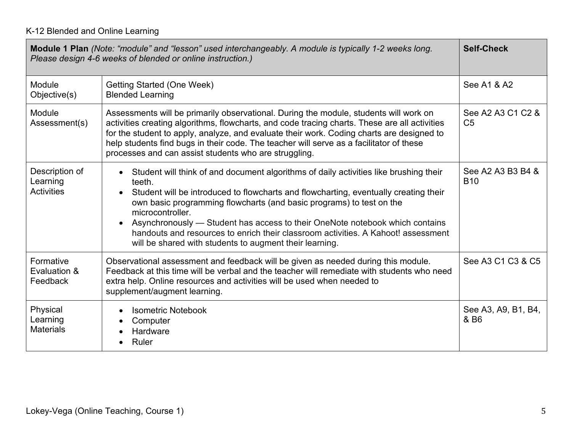|                                                 | Module 1 Plan (Note: "module" and "lesson" used interchangeably. A module is typically 1-2 weeks long.<br>Please design 4-6 weeks of blended or online instruction.)                                                                                                                                                                                                                                                                                                                                                                                       | <b>Self-Check</b>                   |
|-------------------------------------------------|------------------------------------------------------------------------------------------------------------------------------------------------------------------------------------------------------------------------------------------------------------------------------------------------------------------------------------------------------------------------------------------------------------------------------------------------------------------------------------------------------------------------------------------------------------|-------------------------------------|
| Module<br>Objective(s)                          | <b>Getting Started (One Week)</b><br><b>Blended Learning</b>                                                                                                                                                                                                                                                                                                                                                                                                                                                                                               | See A1 & A2                         |
| Module<br>Assessment(s)                         | Assessments will be primarily observational. During the module, students will work on<br>activities creating algorithms, flowcharts, and code tracing charts. These are all activities<br>for the student to apply, analyze, and evaluate their work. Coding charts are designed to<br>help students find bugs in their code. The teacher will serve as a facilitator of these<br>processes and can assist students who are struggling.                                                                                                                    | See A2 A3 C1 C2 &<br>C <sub>5</sub> |
| Description of<br>Learning<br><b>Activities</b> | Student will think of and document algorithms of daily activities like brushing their<br>$\bullet$<br>teeth.<br>Student will be introduced to flowcharts and flowcharting, eventually creating their<br>$\bullet$<br>own basic programming flowcharts (and basic programs) to test on the<br>microcontroller.<br>Asynchronously — Student has access to their OneNote notebook which contains<br>$\bullet$<br>handouts and resources to enrich their classroom activities. A Kahoot! assessment<br>will be shared with students to augment their learning. | See A2 A3 B3 B4 &<br><b>B10</b>     |
| Formative<br>Evaluation &<br>Feedback           | Observational assessment and feedback will be given as needed during this module.<br>Feedback at this time will be verbal and the teacher will remediate with students who need<br>extra help. Online resources and activities will be used when needed to<br>supplement/augment learning.                                                                                                                                                                                                                                                                 | See A3 C1 C3 & C5                   |
| Physical<br>Learning<br><b>Materials</b>        | <b>Isometric Notebook</b><br>$\bullet$<br>Computer<br>Hardware<br>Ruler<br>$\bullet$                                                                                                                                                                                                                                                                                                                                                                                                                                                                       | See A3, A9, B1, B4,<br>& B6         |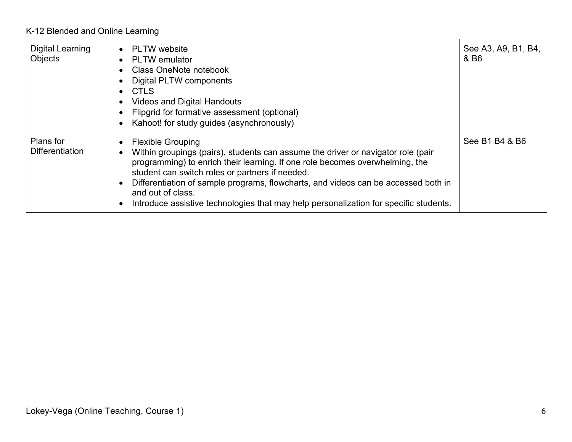| Digital Learning<br>Objects         | <b>PLTW</b> website<br>$\bullet$<br><b>PLTW</b> emulator<br>$\bullet$<br><b>Class OneNote notebook</b><br>Digital PLTW components<br><b>CTLS</b><br>$\bullet$<br>Videos and Digital Handouts<br>Flipgrid for formative assessment (optional)<br>Kahoot! for study guides (asynchronously)<br>$\bullet$                                                                                                                                                                        | See A3, A9, B1, B4,<br>& B6 |
|-------------------------------------|-------------------------------------------------------------------------------------------------------------------------------------------------------------------------------------------------------------------------------------------------------------------------------------------------------------------------------------------------------------------------------------------------------------------------------------------------------------------------------|-----------------------------|
| Plans for<br><b>Differentiation</b> | <b>Flexible Grouping</b><br>$\bullet$<br>Within groupings (pairs), students can assume the driver or navigator role (pair<br>programming) to enrich their learning. If one role becomes overwhelming, the<br>student can switch roles or partners if needed.<br>Differentiation of sample programs, flowcharts, and videos can be accessed both in<br>$\bullet$<br>and out of class.<br>Introduce assistive technologies that may help personalization for specific students. | See B1 B4 & B6              |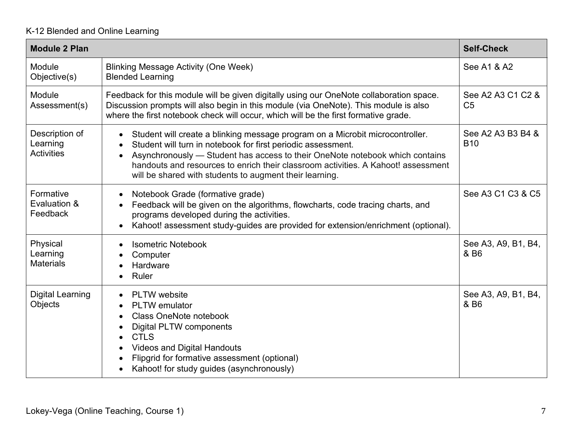| <b>Module 2 Plan</b>                            |                                                                                                                                                                                                                                                                                                                                                                                                                      | <b>Self-Check</b>                   |
|-------------------------------------------------|----------------------------------------------------------------------------------------------------------------------------------------------------------------------------------------------------------------------------------------------------------------------------------------------------------------------------------------------------------------------------------------------------------------------|-------------------------------------|
| Module<br>Objective(s)                          | <b>Blinking Message Activity (One Week)</b><br><b>Blended Learning</b>                                                                                                                                                                                                                                                                                                                                               | See A1 & A2                         |
| Module<br>Assessment(s)                         | Feedback for this module will be given digitally using our OneNote collaboration space.<br>Discussion prompts will also begin in this module (via OneNote). This module is also<br>where the first notebook check will occur, which will be the first formative grade.                                                                                                                                               | See A2 A3 C1 C2 &<br>C <sub>5</sub> |
| Description of<br>Learning<br><b>Activities</b> | Student will create a blinking message program on a Microbit microcontroller.<br>$\bullet$<br>Student will turn in notebook for first periodic assessment.<br>$\bullet$<br>Asynchronously — Student has access to their OneNote notebook which contains<br>$\bullet$<br>handouts and resources to enrich their classroom activities. A Kahoot! assessment<br>will be shared with students to augment their learning. | See A2 A3 B3 B4 &<br><b>B10</b>     |
| Formative<br>Evaluation &<br>Feedback           | Notebook Grade (formative grade)<br>$\bullet$<br>Feedback will be given on the algorithms, flowcharts, code tracing charts, and<br>$\bullet$<br>programs developed during the activities.<br>Kahoot! assessment study-guides are provided for extension/enrichment (optional).<br>$\bullet$                                                                                                                          | See A3 C1 C3 & C5                   |
| Physical<br>Learning<br><b>Materials</b>        | <b>Isometric Notebook</b><br>$\bullet$<br>Computer<br>$\bullet$<br>Hardware<br>$\bullet$<br><b>Ruler</b><br>$\bullet$                                                                                                                                                                                                                                                                                                | See A3, A9, B1, B4,<br>& B6         |
| <b>Digital Learning</b><br>Objects              | PLTW website<br>$\bullet$<br><b>PLTW</b> emulator<br>$\bullet$<br><b>Class OneNote notebook</b><br>$\bullet$<br><b>Digital PLTW components</b><br>$\bullet$<br><b>CTLS</b><br>$\bullet$<br><b>Videos and Digital Handouts</b><br>$\bullet$<br>Flipgrid for formative assessment (optional)<br>$\bullet$<br>Kahoot! for study guides (asynchronously)<br>$\bullet$                                                    | See A3, A9, B1, B4,<br>& B6         |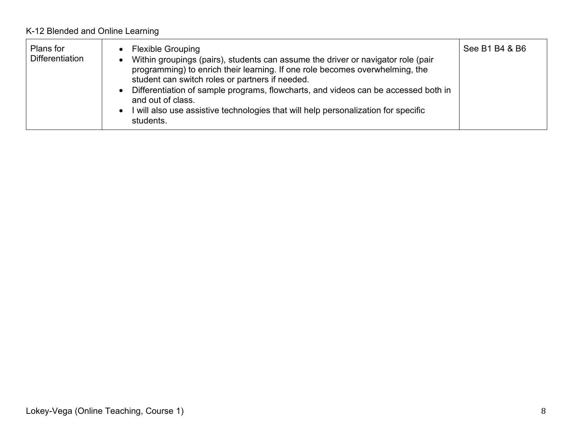| Plans for<br><b>Differentiation</b> | • Flexible Grouping<br>Within groupings (pairs), students can assume the driver or navigator role (pair<br>programming) to enrich their learning. If one role becomes overwhelming, the<br>student can switch roles or partners if needed.<br>Differentiation of sample programs, flowcharts, and videos can be accessed both in<br>and out of class.<br>• I will also use assistive technologies that will help personalization for specific<br>students. | See B1 B4 & B6 |
|-------------------------------------|------------------------------------------------------------------------------------------------------------------------------------------------------------------------------------------------------------------------------------------------------------------------------------------------------------------------------------------------------------------------------------------------------------------------------------------------------------|----------------|
|-------------------------------------|------------------------------------------------------------------------------------------------------------------------------------------------------------------------------------------------------------------------------------------------------------------------------------------------------------------------------------------------------------------------------------------------------------------------------------------------------------|----------------|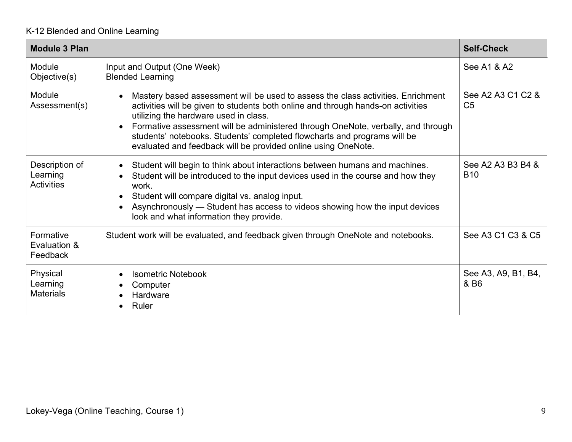| <b>Module 3 Plan</b>                            |                                                                                                                                                                                                                                                                                                                                                                                                                                                                          | <b>Self-Check</b>                   |
|-------------------------------------------------|--------------------------------------------------------------------------------------------------------------------------------------------------------------------------------------------------------------------------------------------------------------------------------------------------------------------------------------------------------------------------------------------------------------------------------------------------------------------------|-------------------------------------|
| Module<br>Objective(s)                          | Input and Output (One Week)<br><b>Blended Learning</b>                                                                                                                                                                                                                                                                                                                                                                                                                   | See A1 & A2                         |
| Module<br>Assessment(s)                         | Mastery based assessment will be used to assess the class activities. Enrichment<br>$\bullet$<br>activities will be given to students both online and through hands-on activities<br>utilizing the hardware used in class.<br>Formative assessment will be administered through OneNote, verbally, and through<br>$\bullet$<br>students' notebooks. Students' completed flowcharts and programs will be<br>evaluated and feedback will be provided online using OneNote. | See A2 A3 C1 C2 &<br>C <sub>5</sub> |
| Description of<br>Learning<br><b>Activities</b> | Student will begin to think about interactions between humans and machines.<br>$\bullet$<br>Student will be introduced to the input devices used in the course and how they<br>work.<br>Student will compare digital vs. analog input.<br>$\bullet$<br>Asynchronously — Student has access to videos showing how the input devices<br>$\bullet$<br>look and what information they provide.                                                                               | See A2 A3 B3 B4 &<br><b>B10</b>     |
| Formative<br>Evaluation &<br>Feedback           | Student work will be evaluated, and feedback given through OneNote and notebooks.                                                                                                                                                                                                                                                                                                                                                                                        | See A3 C1 C3 & C5                   |
| Physical<br>Learning<br><b>Materials</b>        | <b>Isometric Notebook</b><br>$\bullet$<br>Computer<br>$\bullet$<br>Hardware<br>Ruler                                                                                                                                                                                                                                                                                                                                                                                     | See A3, A9, B1, B4,<br>& B6         |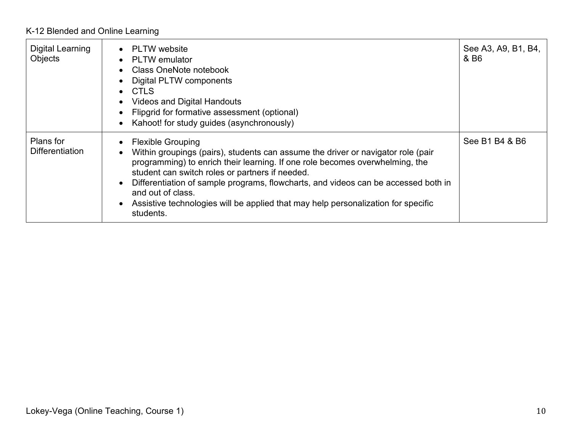| Digital Learning<br>Objects         | PLTW website<br>$\bullet$<br><b>PLTW</b> emulator<br>$\bullet$<br>Class OneNote notebook<br>$\bullet$<br>Digital PLTW components<br>$\bullet$<br><b>CTLS</b><br>$\bullet$<br><b>Videos and Digital Handouts</b><br>$\bullet$<br>Flipgrid for formative assessment (optional)<br>$\bullet$<br>Kahoot! for study guides (asynchronously)<br>$\bullet$                                                                                                                                                 | See A3, A9, B1, B4,<br>& B6 |
|-------------------------------------|-----------------------------------------------------------------------------------------------------------------------------------------------------------------------------------------------------------------------------------------------------------------------------------------------------------------------------------------------------------------------------------------------------------------------------------------------------------------------------------------------------|-----------------------------|
| Plans for<br><b>Differentiation</b> | <b>Flexible Grouping</b><br>$\bullet$<br>Within groupings (pairs), students can assume the driver or navigator role (pair<br>$\bullet$<br>programming) to enrich their learning. If one role becomes overwhelming, the<br>student can switch roles or partners if needed.<br>Differentiation of sample programs, flowcharts, and videos can be accessed both in<br>$\bullet$<br>and out of class.<br>Assistive technologies will be applied that may help personalization for specific<br>students. | See B1 B4 & B6              |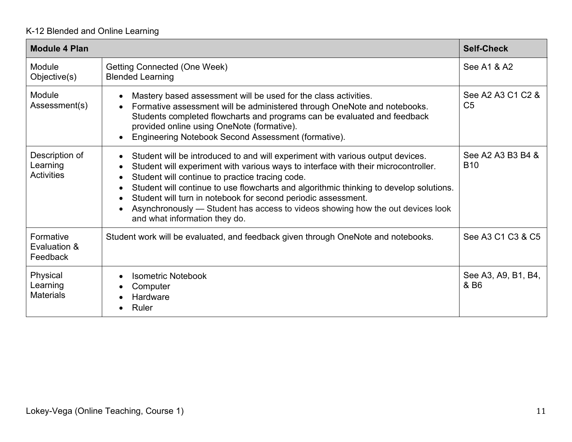| <b>Module 4 Plan</b>                            |                                                                                                                                                                                                                                                                                                                                                                                                                                                                                                                                                                                     | <b>Self-Check</b>                   |
|-------------------------------------------------|-------------------------------------------------------------------------------------------------------------------------------------------------------------------------------------------------------------------------------------------------------------------------------------------------------------------------------------------------------------------------------------------------------------------------------------------------------------------------------------------------------------------------------------------------------------------------------------|-------------------------------------|
| Module<br>Objective(s)                          | Getting Connected (One Week)<br><b>Blended Learning</b>                                                                                                                                                                                                                                                                                                                                                                                                                                                                                                                             | See A1 & A2                         |
| Module<br>Assessment(s)                         | Mastery based assessment will be used for the class activities.<br>$\bullet$<br>Formative assessment will be administered through OneNote and notebooks.<br>$\bullet$<br>Students completed flowcharts and programs can be evaluated and feedback<br>provided online using OneNote (formative).<br>Engineering Notebook Second Assessment (formative).<br>$\bullet$                                                                                                                                                                                                                 | See A2 A3 C1 C2 &<br>C <sub>5</sub> |
| Description of<br>Learning<br><b>Activities</b> | Student will be introduced to and will experiment with various output devices.<br>$\bullet$<br>Student will experiment with various ways to interface with their microcontroller.<br>$\bullet$<br>Student will continue to practice tracing code.<br>$\bullet$<br>Student will continue to use flowcharts and algorithmic thinking to develop solutions.<br>$\bullet$<br>Student will turn in notebook for second periodic assessment.<br>$\bullet$<br>Asynchronously — Student has access to videos showing how the out devices look<br>$\bullet$<br>and what information they do. | See A2 A3 B3 B4 &<br><b>B10</b>     |
| Formative<br>Evaluation &<br>Feedback           | Student work will be evaluated, and feedback given through OneNote and notebooks.                                                                                                                                                                                                                                                                                                                                                                                                                                                                                                   | See A3 C1 C3 & C5                   |
| Physical<br>Learning<br><b>Materials</b>        | <b>Isometric Notebook</b><br>$\bullet$<br>Computer<br>Hardware<br>Ruler                                                                                                                                                                                                                                                                                                                                                                                                                                                                                                             | See A3, A9, B1, B4,<br>& B6         |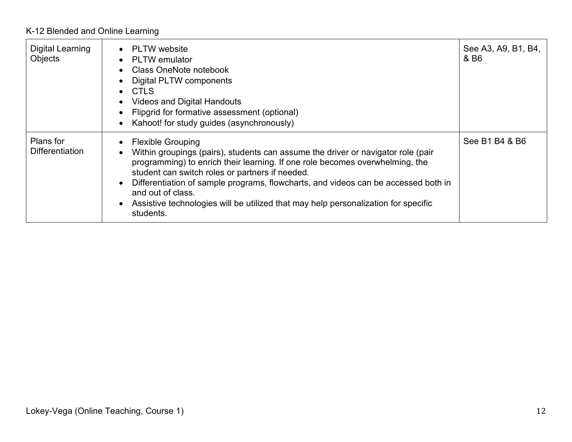| Digital Learning<br>Objects         | <b>PLTW</b> website<br>$\bullet$<br><b>PLTW</b> emulator<br>$\bullet$<br>Class OneNote notebook<br>$\bullet$<br>Digital PLTW components<br>$\bullet$<br><b>CTLS</b><br>$\bullet$<br><b>Videos and Digital Handouts</b><br>$\bullet$<br>Flipgrid for formative assessment (optional)<br>$\bullet$<br>Kahoot! for study guides (asynchronously)<br>$\bullet$                                                                                                                                           | See A3, A9, B1, B4,<br>& B6 |
|-------------------------------------|------------------------------------------------------------------------------------------------------------------------------------------------------------------------------------------------------------------------------------------------------------------------------------------------------------------------------------------------------------------------------------------------------------------------------------------------------------------------------------------------------|-----------------------------|
| Plans for<br><b>Differentiation</b> | <b>Flexible Grouping</b><br>$\bullet$<br>Within groupings (pairs), students can assume the driver or navigator role (pair<br>$\bullet$<br>programming) to enrich their learning. If one role becomes overwhelming, the<br>student can switch roles or partners if needed.<br>Differentiation of sample programs, flowcharts, and videos can be accessed both in<br>$\bullet$<br>and out of class.<br>Assistive technologies will be utilized that may help personalization for specific<br>students. | See B1 B4 & B6              |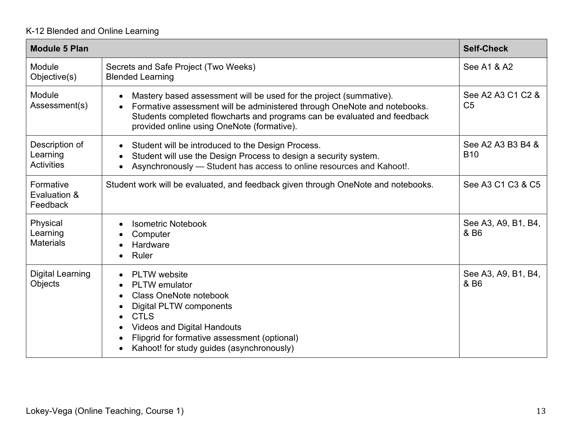| <b>Module 5 Plan</b>                            |                                                                                                                                                                                                                                                                                                                                                                          | <b>Self-Check</b>                   |
|-------------------------------------------------|--------------------------------------------------------------------------------------------------------------------------------------------------------------------------------------------------------------------------------------------------------------------------------------------------------------------------------------------------------------------------|-------------------------------------|
| Module<br>Objective(s)                          | Secrets and Safe Project (Two Weeks)<br><b>Blended Learning</b>                                                                                                                                                                                                                                                                                                          | See A1 & A2                         |
| Module<br>Assessment(s)                         | Mastery based assessment will be used for the project (summative).<br>$\bullet$<br>Formative assessment will be administered through OneNote and notebooks.<br>$\bullet$<br>Students completed flowcharts and programs can be evaluated and feedback<br>provided online using OneNote (formative).                                                                       | See A2 A3 C1 C2 &<br>C <sub>5</sub> |
| Description of<br>Learning<br><b>Activities</b> | Student will be introduced to the Design Process.<br>$\bullet$<br>Student will use the Design Process to design a security system.<br>$\bullet$<br>Asynchronously - Student has access to online resources and Kahoot!.<br>$\bullet$                                                                                                                                     | See A2 A3 B3 B4 &<br><b>B10</b>     |
| Formative<br>Evaluation &<br>Feedback           | Student work will be evaluated, and feedback given through OneNote and notebooks.                                                                                                                                                                                                                                                                                        | See A3 C1 C3 & C5                   |
| Physical<br>Learning<br><b>Materials</b>        | <b>Isometric Notebook</b><br>$\bullet$<br>Computer<br>Hardware<br>$\bullet$<br><b>Ruler</b>                                                                                                                                                                                                                                                                              | See A3, A9, B1, B4,<br>& B6         |
| <b>Digital Learning</b><br>Objects              | <b>PLTW</b> website<br>$\bullet$<br><b>PLTW</b> emulator<br>$\bullet$<br><b>Class OneNote notebook</b><br>$\bullet$<br><b>Digital PLTW components</b><br>$\bullet$<br><b>CTLS</b><br>$\bullet$<br><b>Videos and Digital Handouts</b><br>$\bullet$<br>Flipgrid for formative assessment (optional)<br>$\bullet$<br>Kahoot! for study guides (asynchronously)<br>$\bullet$ | See A3, A9, B1, B4,<br>& B6         |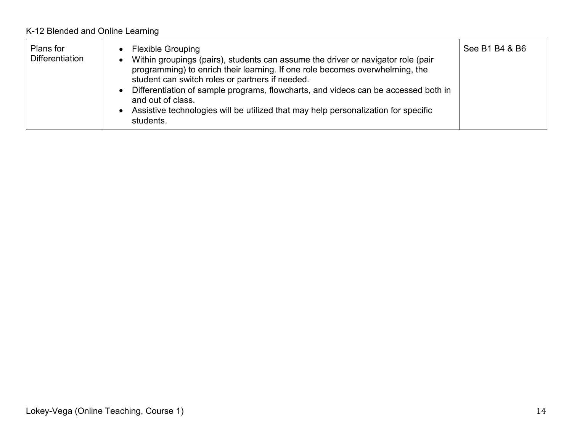| Plans for<br><b>Differentiation</b> | • Flexible Grouping<br>Within groupings (pairs), students can assume the driver or navigator role (pair<br>programming) to enrich their learning. If one role becomes overwhelming, the<br>student can switch roles or partners if needed.<br>Differentiation of sample programs, flowcharts, and videos can be accessed both in<br>and out of class.<br>Assistive technologies will be utilized that may help personalization for specific<br>students. | See B1 B4 & B6 |
|-------------------------------------|----------------------------------------------------------------------------------------------------------------------------------------------------------------------------------------------------------------------------------------------------------------------------------------------------------------------------------------------------------------------------------------------------------------------------------------------------------|----------------|
|-------------------------------------|----------------------------------------------------------------------------------------------------------------------------------------------------------------------------------------------------------------------------------------------------------------------------------------------------------------------------------------------------------------------------------------------------------------------------------------------------------|----------------|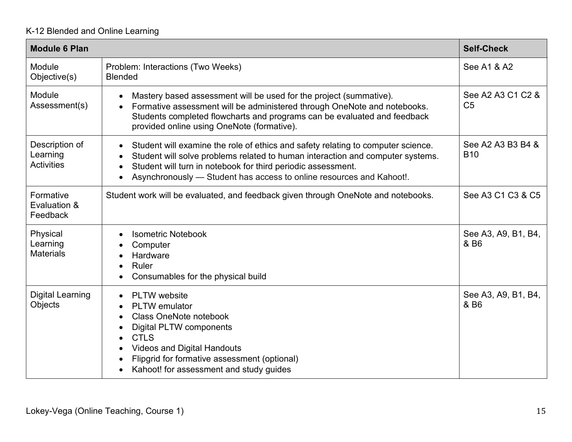| <b>Module 6 Plan</b>                            |                                                                                                                                                                                                                                                                                                                                                                 | <b>Self-Check</b>                   |
|-------------------------------------------------|-----------------------------------------------------------------------------------------------------------------------------------------------------------------------------------------------------------------------------------------------------------------------------------------------------------------------------------------------------------------|-------------------------------------|
| Module<br>Objective(s)                          | Problem: Interactions (Two Weeks)<br><b>Blended</b>                                                                                                                                                                                                                                                                                                             | See A1 & A2                         |
| Module<br>Assessment(s)                         | Mastery based assessment will be used for the project (summative).<br>$\bullet$<br>Formative assessment will be administered through OneNote and notebooks.<br>$\bullet$<br>Students completed flowcharts and programs can be evaluated and feedback<br>provided online using OneNote (formative).                                                              | See A2 A3 C1 C2 &<br>C <sub>5</sub> |
| Description of<br>Learning<br><b>Activities</b> | Student will examine the role of ethics and safety relating to computer science.<br>$\bullet$<br>Student will solve problems related to human interaction and computer systems.<br>$\bullet$<br>Student will turn in notebook for third periodic assessment.<br>$\bullet$<br>Asynchronously - Student has access to online resources and Kahoot!.<br>$\bullet$  | See A2 A3 B3 B4 &<br><b>B10</b>     |
| Formative<br>Evaluation &<br>Feedback           | Student work will be evaluated, and feedback given through OneNote and notebooks.                                                                                                                                                                                                                                                                               | See A3 C1 C3 & C5                   |
| Physical<br>Learning<br><b>Materials</b>        | <b>Isometric Notebook</b><br>$\bullet$<br>Computer<br>$\epsilon$<br>Hardware<br>$\bullet$<br><b>Ruler</b><br>$\bullet$<br>Consumables for the physical build<br>$\bullet$                                                                                                                                                                                       | See A3, A9, B1, B4,<br>& B6         |
| <b>Digital Learning</b><br>Objects              | PLTW website<br>$\bullet$<br><b>PLTW</b> emulator<br>$\bullet$<br><b>Class OneNote notebook</b><br>$\bullet$<br><b>Digital PLTW components</b><br>$\bullet$<br><b>CTLS</b><br>$\bullet$<br><b>Videos and Digital Handouts</b><br>$\bullet$<br>Flipgrid for formative assessment (optional)<br>$\bullet$<br>Kahoot! for assessment and study guides<br>$\bullet$ | See A3, A9, B1, B4,<br>& B6         |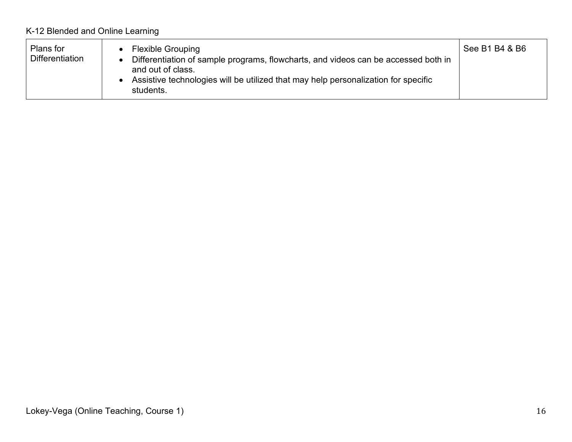| Plans for<br><b>Differentiation</b> | <b>Flexible Grouping</b><br>Differentiation of sample programs, flowcharts, and videos can be accessed both in<br>and out of class.<br>Assistive technologies will be utilized that may help personalization for specific<br>students. | See B1 B4 & B6 |
|-------------------------------------|----------------------------------------------------------------------------------------------------------------------------------------------------------------------------------------------------------------------------------------|----------------|
|-------------------------------------|----------------------------------------------------------------------------------------------------------------------------------------------------------------------------------------------------------------------------------------|----------------|